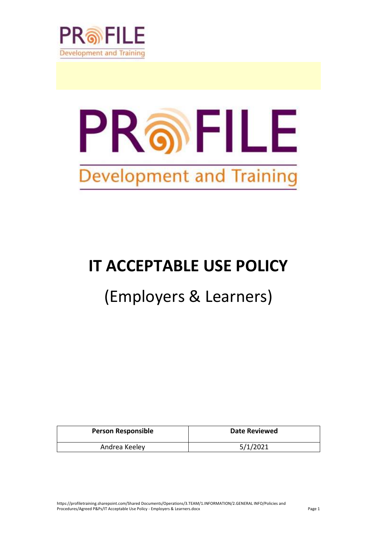



# **IT ACCEPTABLE USE POLICY**

## (Employers & Learners)

| <b>Person Responsible</b> | Date Reviewed |
|---------------------------|---------------|
| Andrea Keeley             | 5/1/2021      |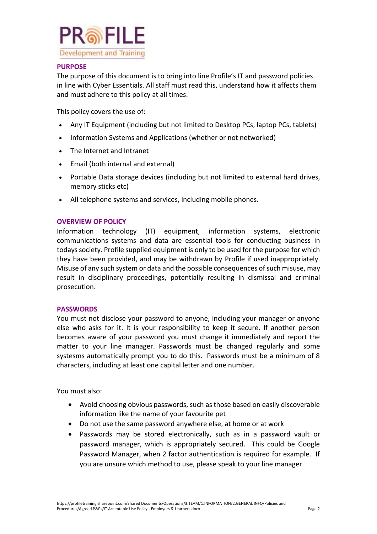

## **PURPOSE**

The purpose of this document is to bring into line Profile's IT and password policies in line with Cyber Essentials. All staff must read this, understand how it affects them and must adhere to this policy at all times.

This policy covers the use of:

- Any IT Equipment (including but not limited to Desktop PCs, laptop PCs, tablets)
- Information Systems and Applications (whether or not networked)
- The Internet and Intranet
- Email (both internal and external)
- Portable Data storage devices (including but not limited to external hard drives, memory sticks etc)
- All telephone systems and services, including mobile phones.

## **OVERVIEW OF POLICY**

Information technology (IT) equipment, information systems, electronic communications systems and data are essential tools for conducting business in todays society. Profile supplied equipment is only to be used for the purpose for which they have been provided, and may be withdrawn by Profile if used inappropriately. Misuse of any such system or data and the possible consequences of such misuse, may result in disciplinary proceedings, potentially resulting in dismissal and criminal prosecution.

## **PASSWORDS**

You must not disclose your password to anyone, including your manager or anyone else who asks for it. It is your responsibility to keep it secure. If another person becomes aware of your password you must change it immediately and report the matter to your line manager. Passwords must be changed regularly and some systesms automatically prompt you to do this. Passwords must be a minimum of 8 characters, including at least one capital letter and one number.

You must also:

- Avoid choosing obvious passwords, such as those based on easily discoverable information like the name of your favourite pet
- Do not use the same password anywhere else, at home or at work
- Passwords may be stored electronically, such as in a password vault or password manager, which is appropriately secured. This could be Google Password Manager, when 2 factor authentication is required for example. If you are unsure which method to use, please speak to your line manager.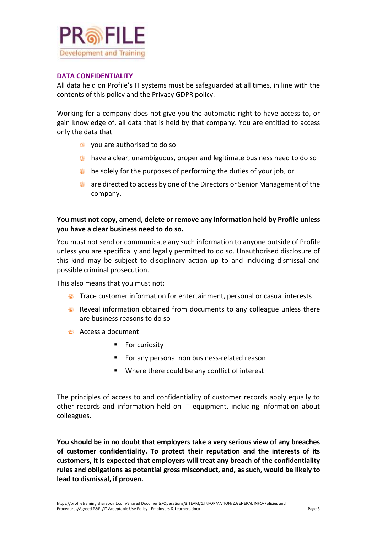

## **DATA CONFIDENTIALITY**

All data held on Profile's IT systems must be safeguarded at all times, in line with the contents of this policy and the Privacy GDPR policy.

Working for a company does not give you the automatic right to have access to, or gain knowledge of, all data that is held by that company. You are entitled to access only the data that

- you are authorised to do so
- have a clear, unambiguous, proper and legitimate business need to do so
- **be solely for the purposes of performing the duties of your job, or**
- a are directed to access by one of the Directors or Senior Management of the company.

## **You must not copy, amend, delete or remove any information held by Profile unless you have a clear business need to do so.**

You must not send or communicate any such information to anyone outside of Profile unless you are specifically and legally permitted to do so. Unauthorised disclosure of this kind may be subject to disciplinary action up to and including dismissal and possible criminal prosecution.

This also means that you must not:

- **Trace customer information for entertainment, personal or casual interests**
- **Reveal information obtained from documents to any colleague unless there** are business reasons to do so
- Access a document
	- For curiosity
	- For any personal non business-related reason
	- Where there could be any conflict of interest

The principles of access to and confidentiality of customer records apply equally to other records and information held on IT equipment, including information about colleagues.

**You should be in no doubt that employers take a very serious view of any breaches of customer confidentiality. To protect their reputation and the interests of its customers, it is expected that employers will treat any breach of the confidentiality rules and obligations as potential gross misconduct, and, as such, would be likely to lead to dismissal, if proven.**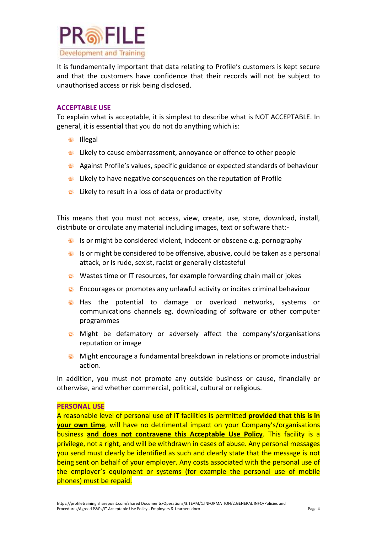

It is fundamentally important that data relating to Profile's customers is kept secure and that the customers have confidence that their records will not be subject to unauthorised access or risk being disclosed.

### **ACCEPTABLE USE**

To explain what is acceptable, it is simplest to describe what is NOT ACCEPTABLE. In general, it is essential that you do not do anything which is:

- *<u>in</u>* Illegal
- likely to cause embarrassment, annoyance or offence to other people
- Against Profile's values, specific guidance or expected standards of behaviour
- likely to have negative consequences on the reputation of Profile
- **EXTERG** Likely to result in a loss of data or productivity

This means that you must not access, view, create, use, store, download, install, distribute or circulate any material including images, text or software that:-

- $\bullet$  Is or might be considered violent, indecent or obscene e.g. pornography
- **Is or might be considered to be offensive, abusive, could be taken as a personal** attack, or is rude, sexist, racist or generally distasteful
- Wastes time or IT resources, for example forwarding chain mail or jokes
- Encourages or promotes any unlawful activity or incites criminal behaviour
- Has the potential to damage or overload networks, systems or communications channels eg. downloading of software or other computer programmes
- **Might be defamatory or adversely affect the company's/organisations** reputation or image
- **Might encourage a fundamental breakdown in relations or promote industrial** action.

In addition, you must not promote any outside business or cause, financially or otherwise, and whether commercial, political, cultural or religious.

#### **PERSONAL USE**

A reasonable level of personal use of IT facilities is permitted **provided that this is in your own time**, will have no detrimental impact on your Company's/organisations business **and does not contravene this Acceptable Use Policy**. This facility is a privilege, not a right, and will be withdrawn in cases of abuse. Any personal messages you send must clearly be identified as such and clearly state that the message is not being sent on behalf of your employer. Any costs associated with the personal use of the employer's equipment or systems (for example the personal use of mobile phones) must be repaid.